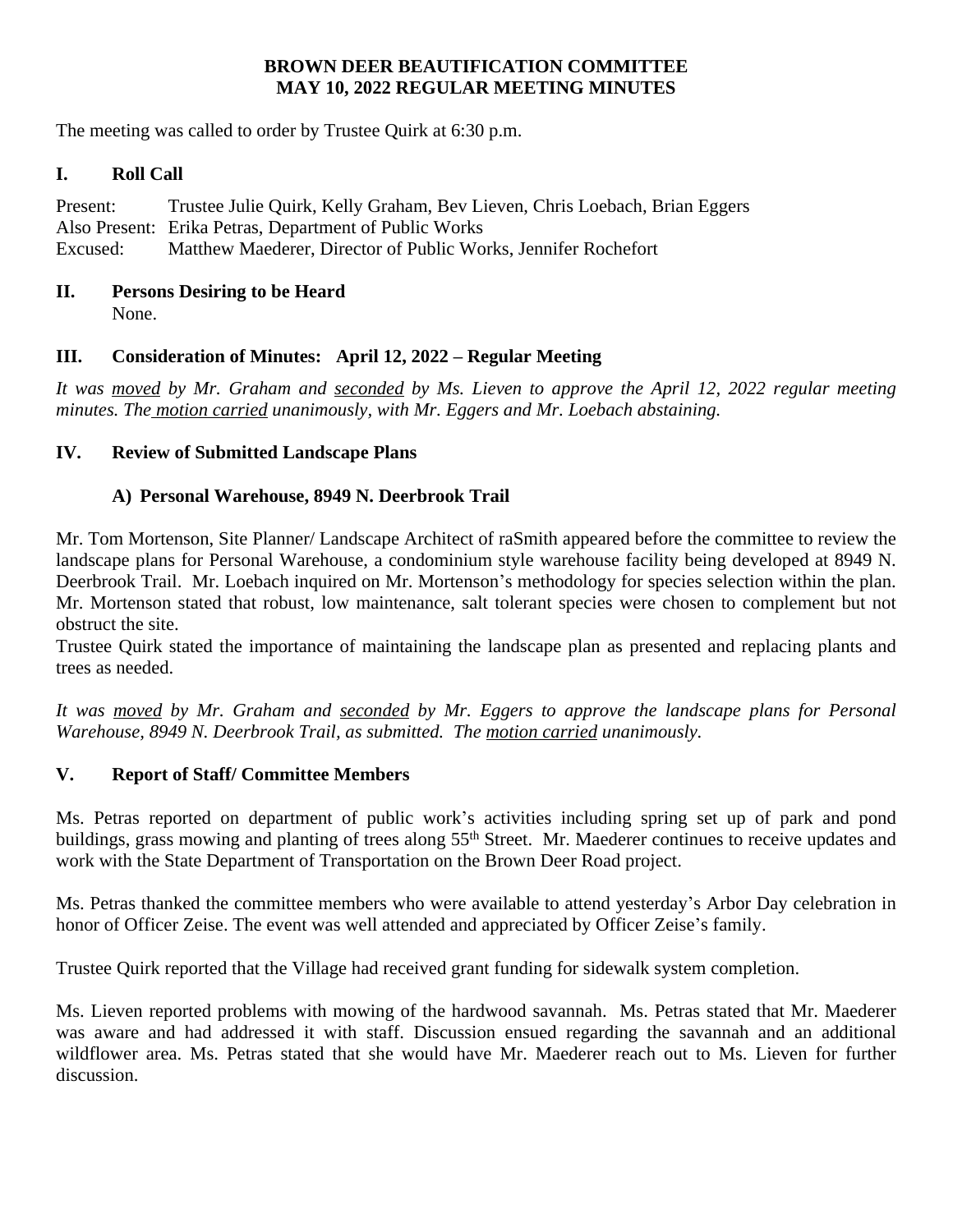## **BROWN DEER BEAUTIFICATION COMMITTEE MAY 10, 2022 REGULAR MEETING MINUTES**

The meeting was called to order by Trustee Quirk at 6:30 p.m.

### **I. Roll Call**

Present: Trustee Julie Quirk, Kelly Graham, Bev Lieven, Chris Loebach, Brian Eggers Also Present: Erika Petras, Department of Public Works Excused: Matthew Maederer, Director of Public Works, Jennifer Rochefort

# **II. Persons Desiring to be Heard**

None.

# **III. Consideration of Minutes: April 12, 2022 – Regular Meeting**

It was moved by Mr. Graham and seconded by Ms. Lieven to approve the April 12, 2022 regular meeting *minutes. The motion carried unanimously, with Mr. Eggers and Mr. Loebach abstaining.*

## **IV. Review of Submitted Landscape Plans**

# **A) Personal Warehouse, 8949 N. Deerbrook Trail**

Mr. Tom Mortenson, Site Planner/ Landscape Architect of raSmith appeared before the committee to review the landscape plans for Personal Warehouse, a condominium style warehouse facility being developed at 8949 N. Deerbrook Trail. Mr. Loebach inquired on Mr. Mortenson's methodology for species selection within the plan. Mr. Mortenson stated that robust, low maintenance, salt tolerant species were chosen to complement but not obstruct the site.

Trustee Quirk stated the importance of maintaining the landscape plan as presented and replacing plants and trees as needed.

*It was moved by Mr. Graham and seconded by Mr. Eggers to approve the landscape plans for Personal Warehouse, 8949 N. Deerbrook Trail, as submitted. The motion carried unanimously.*

# **V. Report of Staff/ Committee Members**

Ms. Petras reported on department of public work's activities including spring set up of park and pond buildings, grass mowing and planting of trees along 55th Street. Mr. Maederer continues to receive updates and work with the State Department of Transportation on the Brown Deer Road project.

Ms. Petras thanked the committee members who were available to attend yesterday's Arbor Day celebration in honor of Officer Zeise. The event was well attended and appreciated by Officer Zeise's family.

Trustee Quirk reported that the Village had received grant funding for sidewalk system completion.

Ms. Lieven reported problems with mowing of the hardwood savannah. Ms. Petras stated that Mr. Maederer was aware and had addressed it with staff. Discussion ensued regarding the savannah and an additional wildflower area. Ms. Petras stated that she would have Mr. Maederer reach out to Ms. Lieven for further discussion.